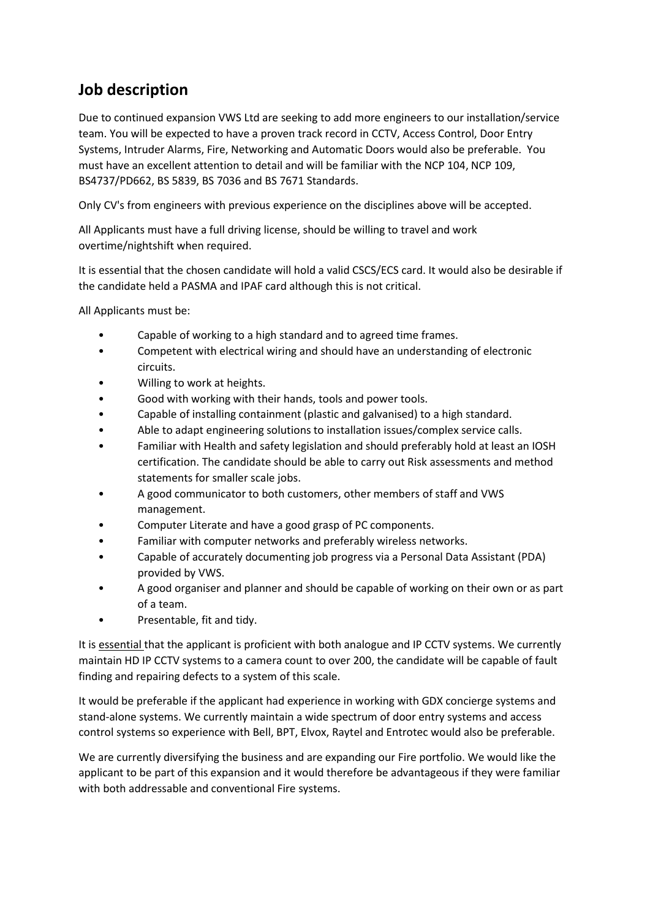## **Job description**

Due to continued expansion VWS Ltd are seeking to add more engineers to our installation/service team. You will be expected to have a proven track record in CCTV, Access Control, Door Entry Systems, Intruder Alarms, Fire, Networking and Automatic Doors would also be preferable. You must have an excellent attention to detail and will be familiar with the NCP 104, NCP 109, BS4737/PD662, BS 5839, BS 7036 and BS 7671 Standards.

Only CV's from engineers with previous experience on the disciplines above will be accepted.

All Applicants must have a full driving license, should be willing to travel and work overtime/nightshift when required.

It is essential that the chosen candidate will hold a valid CSCS/ECS card. It would also be desirable if the candidate held a PASMA and IPAF card although this is not critical.

All Applicants must be:

- Capable of working to a high standard and to agreed time frames.
- Competent with electrical wiring and should have an understanding of electronic circuits.
- Willing to work at heights.
- Good with working with their hands, tools and power tools.
- Capable of installing containment (plastic and galvanised) to a high standard.
- Able to adapt engineering solutions to installation issues/complex service calls.
- Familiar with Health and safety legislation and should preferably hold at least an IOSH certification. The candidate should be able to carry out Risk assessments and method statements for smaller scale jobs.
- A good communicator to both customers, other members of staff and VWS management.
- Computer Literate and have a good grasp of PC components.
- Familiar with computer networks and preferably wireless networks.
- Capable of accurately documenting job progress via a Personal Data Assistant (PDA) provided by VWS.
- A good organiser and planner and should be capable of working on their own or as part of a team.
- Presentable, fit and tidy.

It is essential that the applicant is proficient with both analogue and IP CCTV systems. We currently maintain HD IP CCTV systems to a camera count to over 200, the candidate will be capable of fault finding and repairing defects to a system of this scale.

It would be preferable if the applicant had experience in working with GDX concierge systems and stand-alone systems. We currently maintain a wide spectrum of door entry systems and access control systems so experience with Bell, BPT, Elvox, Raytel and Entrotec would also be preferable.

We are currently diversifying the business and are expanding our Fire portfolio. We would like the applicant to be part of this expansion and it would therefore be advantageous if they were familiar with both addressable and conventional Fire systems.